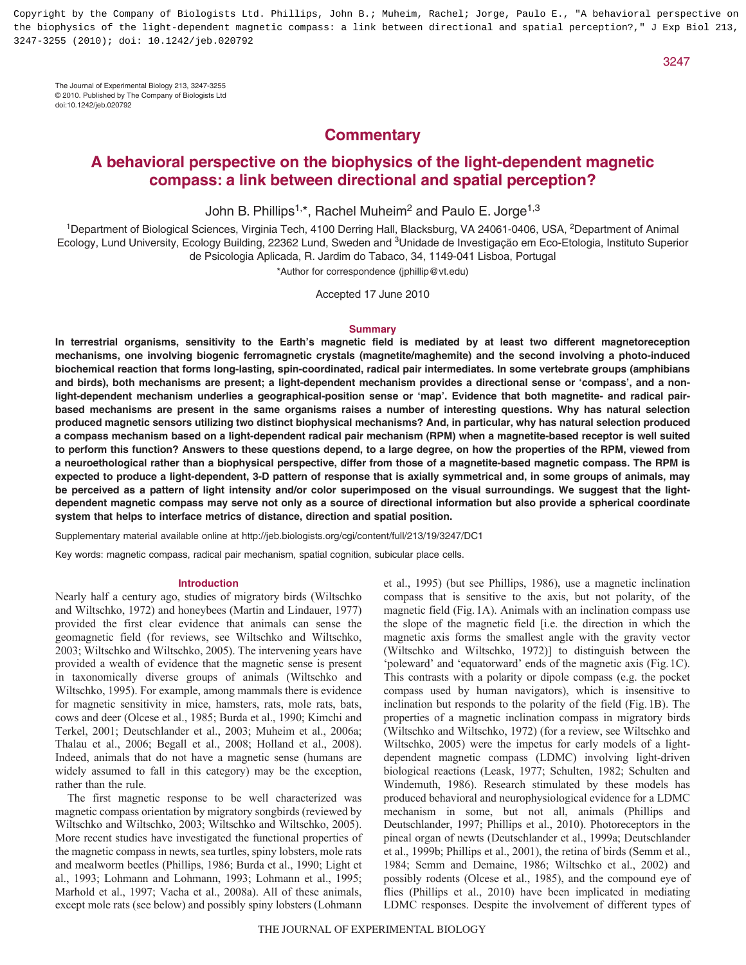the biophysics of the light-dependent magnetic compass: a link between directional and spatial perception?," J Exp Biol 213, 3247-3255 (2010); doi: 10.1242/jeb.020792

3247

The Journal of Experimental Biology 213, 3247-3255 © 2010. Published by The Company of Biologists Ltd doi:10.1242/jeb.020792

# **Commentary**

# **A behavioral perspective on the biophysics of the light-dependent magnetic compass: a link between directional and spatial perception?**

John B. Phillips<sup>1,\*</sup>, Rachel Muheim<sup>2</sup> and Paulo E. Jorge<sup>1,3</sup>

<sup>1</sup>Department of Biological Sciences, Virginia Tech, 4100 Derring Hall, Blacksburg, VA 24061-0406, USA, <sup>2</sup>Department of Animal Ecology, Lund University, Ecology Building, 22362 Lund, Sweden and 3Unidade de Investigação em Eco-Etologia, Instituto Superior de Psicologia Aplicada, R. Jardim do Tabaco, 34, 1149-041 Lisboa, Portugal

\*Author for correspondence (jphillip@vt.edu)

Accepted 17 June 2010

### **Summary**

**In terrestrial organisms, sensitivity to the Earth's magnetic field is mediated by at least two different magnetoreception mechanisms, one involving biogenic ferromagnetic crystals (magnetite/maghemite) and the second involving a photo-induced biochemical reaction that forms long-lasting, spin-coordinated, radical pair intermediates. In some vertebrate groups (amphibians and birds), both mechanisms are present; a light-dependent mechanism provides a directional sense or 'compass', and a nonlight-dependent mechanism underlies a geographical-position sense or 'map'. Evidence that both magnetite- and radical pairbased mechanisms are present in the same organisms raises a number of interesting questions. Why has natural selection produced magnetic sensors utilizing two distinct biophysical mechanisms? And, in particular, why has natural selection produced a compass mechanism based on a light-dependent radical pair mechanism (RPM) when a magnetite-based receptor is well suited to perform this function? Answers to these questions depend, to a large degree, on how the properties of the RPM, viewed from a neuroethological rather than a biophysical perspective, differ from those of a magnetite-based magnetic compass. The RPM is expected to produce a light-dependent, 3-D pattern of response that is axially symmetrical and, in some groups of animals, may be perceived as a pattern of light intensity and/or color superimposed on the visual surroundings. We suggest that the lightdependent magnetic compass may serve not only as a source of directional information but also provide a spherical coordinate system that helps to interface metrics of distance, direction and spatial position.** The method is a second of the second of the company of the Company of Biologists Ltd. Phillips, John B.; Muheim, Paulo Company of Biologists Ltd. Phillips, John B.; Muheim, Paulo Company of Biologists Ltd. Philips, John B

Supplementary material available online at http://jeb.biologists.org/cgi/content/full/213/19/3247/DC1

Key words: magnetic compass, radical pair mechanism, spatial cognition, subicular place cells.

### **Introduction**

Nearly half a century ago, studies of migratory birds (Wiltschko and Wiltschko, 1972) and honeybees (Martin and Lindauer, 1977) provided the first clear evidence that animals can sense the geomagnetic field (for reviews, see Wiltschko and Wiltschko, 2003; Wiltschko and Wiltschko, 2005). The intervening years have provided a wealth of evidence that the magnetic sense is present in taxonomically diverse groups of animals (Wiltschko and Wiltschko, 1995). For example, among mammals there is evidence for magnetic sensitivity in mice, hamsters, rats, mole rats, bats, cows and deer (Olcese et al., 1985; Burda et al., 1990; Kimchi and Terkel, 2001; Deutschlander et al., 2003; Muheim et al., 2006a; Thalau et al., 2006; Begall et al., 2008; Holland et al., 2008). Indeed, animals that do not have a magnetic sense (humans are widely assumed to fall in this category) may be the exception, rather than the rule.

The first magnetic response to be well characterized was magnetic compass orientation by migratory songbirds (reviewed by Wiltschko and Wiltschko, 2003; Wiltschko and Wiltschko, 2005). More recent studies have investigated the functional properties of the magnetic compass in newts, sea turtles, spiny lobsters, mole rats and mealworm beetles (Phillips, 1986; Burda et al., 1990; Light et al., 1993; Lohmann and Lohmann, 1993; Lohmann et al., 1995; Marhold et al., 1997; Vacha et al., 2008a). All of these animals, except mole rats (see below) and possibly spiny lobsters (Lohmann et al., 1995) (but see Phillips, 1986), use a magnetic inclination compass that is sensitive to the axis, but not polarity, of the magnetic field (Fig.1A). Animals with an inclination compass use the slope of the magnetic field [i.e. the direction in which the magnetic axis forms the smallest angle with the gravity vector (Wiltschko and Wiltschko, 1972)] to distinguish between the 'poleward' and 'equatorward' ends of the magnetic axis (Fig.1C). This contrasts with a polarity or dipole compass (e.g. the pocket compass used by human navigators), which is insensitive to inclination but responds to the polarity of the field (Fig.1B). The properties of a magnetic inclination compass in migratory birds (Wiltschko and Wiltschko, 1972) (for a review, see Wiltschko and Wiltschko, 2005) were the impetus for early models of a lightdependent magnetic compass (LDMC) involving light-driven biological reactions (Leask, 1977; Schulten, 1982; Schulten and Windemuth, 1986). Research stimulated by these models has produced behavioral and neurophysiological evidence for a LDMC mechanism in some, but not all, animals (Phillips and Deutschlander, 1997; Phillips et al., 2010). Photoreceptors in the pineal organ of newts (Deutschlander et al., 1999a; Deutschlander et al., 1999b; Phillips et al., 2001), the retina of birds (Semm et al., 1984; Semm and Demaine, 1986; Wiltschko et al., 2002) and possibly rodents (Olcese et al., 1985), and the compound eye of flies (Phillips et al., 2010) have been implicated in mediating LDMC responses. Despite the involvement of different types of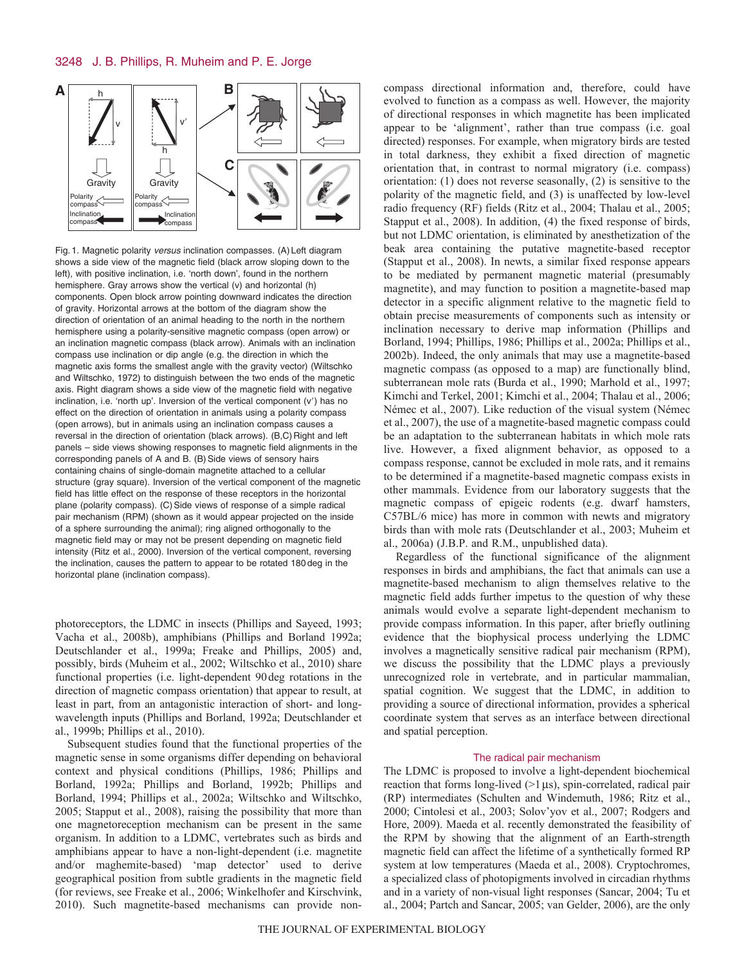

Fig. 1. Magnetic polarity versus inclination compasses. (A) Left diagram shows a side view of the magnetic field (black arrow sloping down to the left), with positive inclination, i.e. 'north down', found in the northern hemisphere. Gray arrows show the vertical (v) and horizontal (h) components. Open block arrow pointing downward indicates the direction of gravity. Horizontal arrows at the bottom of the diagram show the direction of orientation of an animal heading to the north in the northern hemisphere using a polarity-sensitive magnetic compass (open arrow) or an inclination magnetic compass (black arrow). Animals with an inclination compass use inclination or dip angle (e.g. the direction in which the magnetic axis forms the smallest angle with the gravity vector) (Wiltschko and Wiltschko, 1972) to distinguish between the two ends of the magnetic axis. Right diagram shows a side view of the magnetic field with negative inclination, i.e. 'north up'. Inversion of the vertical component (v') has no effect on the direction of orientation in animals using a polarity compass (open arrows), but in animals using an inclination compass causes a reversal in the direction of orientation (black arrows). (B,C) Right and left panels – side views showing responses to magnetic field alignments in the corresponding panels of A and B. (B) Side views of sensory hairs containing chains of single-domain magnetite attached to a cellular structure (gray square). Inversion of the vertical component of the magnetic field has little effect on the response of these receptors in the horizontal plane (polarity compass). (C) Side views of response of a simple radical pair mechanism (RPM) (shown as it would appear projected on the inside of a sphere surrounding the animal); ring aligned orthogonally to the magnetic field may or may not be present depending on magnetic field intensity (Ritz et al., 2000). Inversion of the vertical component, reversing the inclination, causes the pattern to appear to be rotated 180 deg in the horizontal plane (inclination compass).

photoreceptors, the LDMC in insects (Phillips and Sayeed, 1993; Vacha et al., 2008b), amphibians (Phillips and Borland 1992a; Deutschlander et al., 1999a; Freake and Phillips, 2005) and, possibly, birds (Muheim et al., 2002; Wiltschko et al., 2010) share functional properties (i.e. light-dependent 90deg rotations in the direction of magnetic compass orientation) that appear to result, at least in part, from an antagonistic interaction of short- and longwavelength inputs (Phillips and Borland, 1992a; Deutschlander et al., 1999b; Phillips et al., 2010).

Subsequent studies found that the functional properties of the magnetic sense in some organisms differ depending on behavioral context and physical conditions (Phillips, 1986; Phillips and Borland, 1992a; Phillips and Borland, 1992b; Phillips and Borland, 1994; Phillips et al., 2002a; Wiltschko and Wiltschko, 2005; Stapput et al., 2008), raising the possibility that more than one magnetoreception mechanism can be present in the same organism. In addition to a LDMC, vertebrates such as birds and amphibians appear to have a non-light-dependent (i.e. magnetite and/or maghemite-based) 'map detector' used to derive geographical position from subtle gradients in the magnetic field (for reviews, see Freake et al., 2006; Winkelhofer and Kirschvink, 2010). Such magnetite-based mechanisms can provide noncompass directional information and, therefore, could have evolved to function as a compass as well. However, the majority of directional responses in which magnetite has been implicated appear to be 'alignment', rather than true compass (i.e. goal directed) responses. For example, when migratory birds are tested in total darkness, they exhibit a fixed direction of magnetic orientation that, in contrast to normal migratory (i.e. compass) orientation: (1) does not reverse seasonally, (2) is sensitive to the polarity of the magnetic field, and (3) is unaffected by low-level radio frequency (RF) fields (Ritz et al., 2004; Thalau et al., 2005; Stapput et al., 2008). In addition, (4) the fixed response of birds, but not LDMC orientation, is eliminated by anesthetization of the beak area containing the putative magnetite-based receptor (Stapput et al., 2008). In newts, a similar fixed response appears to be mediated by permanent magnetic material (presumably magnetite), and may function to position a magnetite-based map detector in a specific alignment relative to the magnetic field to obtain precise measurements of components such as intensity or inclination necessary to derive map information (Phillips and Borland, 1994; Phillips, 1986; Phillips et al., 2002a; Phillips et al., 2002b). Indeed, the only animals that may use a magnetite-based magnetic compass (as opposed to a map) are functionally blind, subterranean mole rats (Burda et al., 1990; Marhold et al., 1997; Kimchi and Terkel, 2001; Kimchi et al., 2004; Thalau et al., 2006; Némec et al., 2007). Like reduction of the visual system (Némec et al., 2007), the use of a magnetite-based magnetic compass could be an adaptation to the subterranean habitats in which mole rats live. However, a fixed alignment behavior, as opposed to a compass response, cannot be excluded in mole rats, and it remains to be determined if a magnetite-based magnetic compass exists in other mammals. Evidence from our laboratory suggests that the magnetic compass of epigeic rodents (e.g. dwarf hamsters, C57BL/6 mice) has more in common with newts and migratory birds than with mole rats (Deutschlander et al., 2003; Muheim et al., 2006a) (J.B.P. and R.M., unpublished data).

Regardless of the functional significance of the alignment responses in birds and amphibians, the fact that animals can use a magnetite-based mechanism to align themselves relative to the magnetic field adds further impetus to the question of why these animals would evolve a separate light-dependent mechanism to provide compass information. In this paper, after briefly outlining evidence that the biophysical process underlying the LDMC involves a magnetically sensitive radical pair mechanism (RPM), we discuss the possibility that the LDMC plays a previously unrecognized role in vertebrate, and in particular mammalian, spatial cognition. We suggest that the LDMC, in addition to providing a source of directional information, provides a spherical coordinate system that serves as an interface between directional and spatial perception.

### The radical pair mechanism

The LDMC is proposed to involve a light-dependent biochemical reaction that forms long-lived  $(>1 \,\mu s)$ , spin-correlated, radical pair (RP) intermediates (Schulten and Windemuth, 1986; Ritz et al., 2000; Cintolesi et al., 2003; Solov'yov et al., 2007; Rodgers and Hore, 2009). Maeda et al. recently demonstrated the feasibility of the RPM by showing that the alignment of an Earth-strength magnetic field can affect the lifetime of a synthetically formed RP system at low temperatures (Maeda et al., 2008). Cryptochromes, a specialized class of photopigments involved in circadian rhythms and in a variety of non-visual light responses (Sancar, 2004; Tu et al., 2004; Partch and Sancar, 2005; van Gelder, 2006), are the only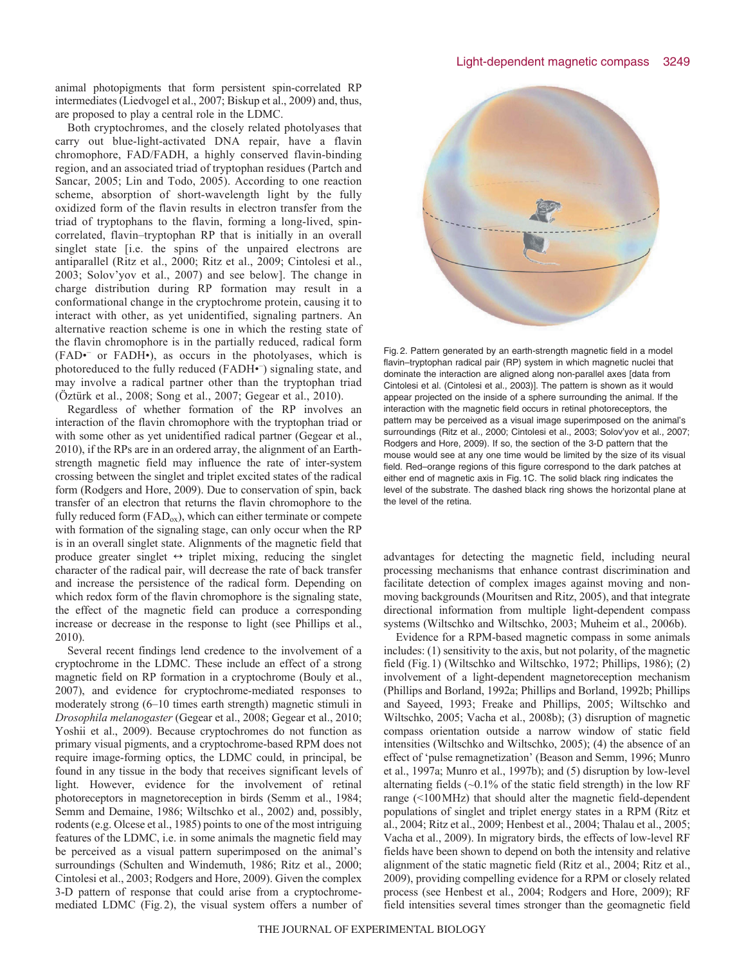animal photopigments that form persistent spin-correlated RP intermediates (Liedvogel et al., 2007; Biskup et al., 2009) and, thus, are proposed to play a central role in the LDMC.

Both cryptochromes, and the closely related photolyases that carry out blue-light-activated DNA repair, have a flavin chromophore, FAD/FADH, a highly conserved flavin-binding region, and an associated triad of tryptophan residues (Partch and Sancar, 2005; Lin and Todo, 2005). According to one reaction scheme, absorption of short-wavelength light by the fully oxidized form of the flavin results in electron transfer from the triad of tryptophans to the flavin, forming a long-lived, spincorrelated, flavin–tryptophan RP that is initially in an overall singlet state [i.e. the spins of the unpaired electrons are antiparallel (Ritz et al., 2000; Ritz et al., 2009; Cintolesi et al., 2003; Solov'yov et al., 2007) and see below]. The change in charge distribution during RP formation may result in a conformational change in the cryptochrome protein, causing it to interact with other, as yet unidentified, signaling partners. An alternative reaction scheme is one in which the resting state of the flavin chromophore is in the partially reduced, radical form (FAD•– or FADH•), as occurs in the photolyases, which is photoreduced to the fully reduced (FADH $\bullet^-$ ) signaling state, and may involve a radical partner other than the tryptophan triad (Öztürk et al., 2008; Song et al., 2007; Gegear et al., 2010).

Regardless of whether formation of the RP involves an interaction of the flavin chromophore with the tryptophan triad or with some other as yet unidentified radical partner (Gegear et al., 2010), if the RPs are in an ordered array, the alignment of an Earthstrength magnetic field may influence the rate of inter-system crossing between the singlet and triplet excited states of the radical form (Rodgers and Hore, 2009). Due to conservation of spin, back transfer of an electron that returns the flavin chromophore to the fully reduced form  $(FAD_{ox})$ , which can either terminate or compete with formation of the signaling stage, can only occur when the RP is in an overall singlet state. Alignments of the magnetic field that produce greater singlet  $\leftrightarrow$  triplet mixing, reducing the singlet character of the radical pair, will decrease the rate of back transfer and increase the persistence of the radical form. Depending on which redox form of the flavin chromophore is the signaling state, the effect of the magnetic field can produce a corresponding increase or decrease in the response to light (see Phillips et al., 2010).

Several recent findings lend credence to the involvement of a cryptochrome in the LDMC. These include an effect of a strong magnetic field on RP formation in a cryptochrome (Bouly et al., 2007), and evidence for cryptochrome-mediated responses to moderately strong (6–10 times earth strength) magnetic stimuli in *Drosophila melanogaster* (Gegear et al., 2008; Gegear et al., 2010; Yoshii et al., 2009). Because cryptochromes do not function as primary visual pigments, and a cryptochrome-based RPM does not require image-forming optics, the LDMC could, in principal, be found in any tissue in the body that receives significant levels of light. However, evidence for the involvement of retinal photoreceptors in magnetoreception in birds (Semm et al., 1984; Semm and Demaine, 1986; Wiltschko et al., 2002) and, possibly, rodents (e.g. Olcese et al., 1985) points to one of the most intriguing features of the LDMC, i.e. in some animals the magnetic field may be perceived as a visual pattern superimposed on the animal's surroundings (Schulten and Windemuth, 1986; Ritz et al., 2000; Cintolesi et al., 2003; Rodgers and Hore, 2009). Given the complex 3-D pattern of response that could arise from a cryptochromemediated LDMC (Fig.2), the visual system offers a number of



Fig. 2. Pattern generated by an earth-strength magnetic field in a model flavin–tryptophan radical pair (RP) system in which magnetic nuclei that dominate the interaction are aligned along non-parallel axes [data from Cintolesi et al. (Cintolesi et al., 2003)]. The pattern is shown as it would appear projected on the inside of a sphere surrounding the animal. If the interaction with the magnetic field occurs in retinal photoreceptors, the pattern may be perceived as a visual image superimposed on the animal's surroundings (Ritz et al., 2000; Cintolesi et al., 2003; Solov'yov et al., 2007; Rodgers and Hore, 2009). If so, the section of the 3-D pattern that the mouse would see at any one time would be limited by the size of its visual field. Red–orange regions of this figure correspond to the dark patches at either end of magnetic axis in Fig. 1C. The solid black ring indicates the level of the substrate. The dashed black ring shows the horizontal plane at the level of the retina.

advantages for detecting the magnetic field, including neural processing mechanisms that enhance contrast discrimination and facilitate detection of complex images against moving and nonmoving backgrounds (Mouritsen and Ritz, 2005), and that integrate directional information from multiple light-dependent compass systems (Wiltschko and Wiltschko, 2003; Muheim et al., 2006b).

Evidence for a RPM-based magnetic compass in some animals includes: (1) sensitivity to the axis, but not polarity, of the magnetic field (Fig.1) (Wiltschko and Wiltschko, 1972; Phillips, 1986); (2) involvement of a light-dependent magnetoreception mechanism (Phillips and Borland, 1992a; Phillips and Borland, 1992b; Phillips and Sayeed, 1993; Freake and Phillips, 2005; Wiltschko and Wiltschko, 2005; Vacha et al., 2008b); (3) disruption of magnetic compass orientation outside a narrow window of static field intensities (Wiltschko and Wiltschko, 2005); (4) the absence of an effect of 'pulse remagnetization' (Beason and Semm, 1996; Munro et al., 1997a; Munro et al., 1997b); and (5) disruption by low-level alternating fields  $(-0.1\%$  of the static field strength) in the low RF range (<100MHz) that should alter the magnetic field-dependent populations of singlet and triplet energy states in a RPM (Ritz et al., 2004; Ritz et al., 2009; Henbest et al., 2004; Thalau et al., 2005; Vacha et al., 2009). In migratory birds, the effects of low-level RF fields have been shown to depend on both the intensity and relative alignment of the static magnetic field (Ritz et al., 2004; Ritz et al., 2009), providing compelling evidence for a RPM or closely related process (see Henbest et al., 2004; Rodgers and Hore, 2009); RF field intensities several times stronger than the geomagnetic field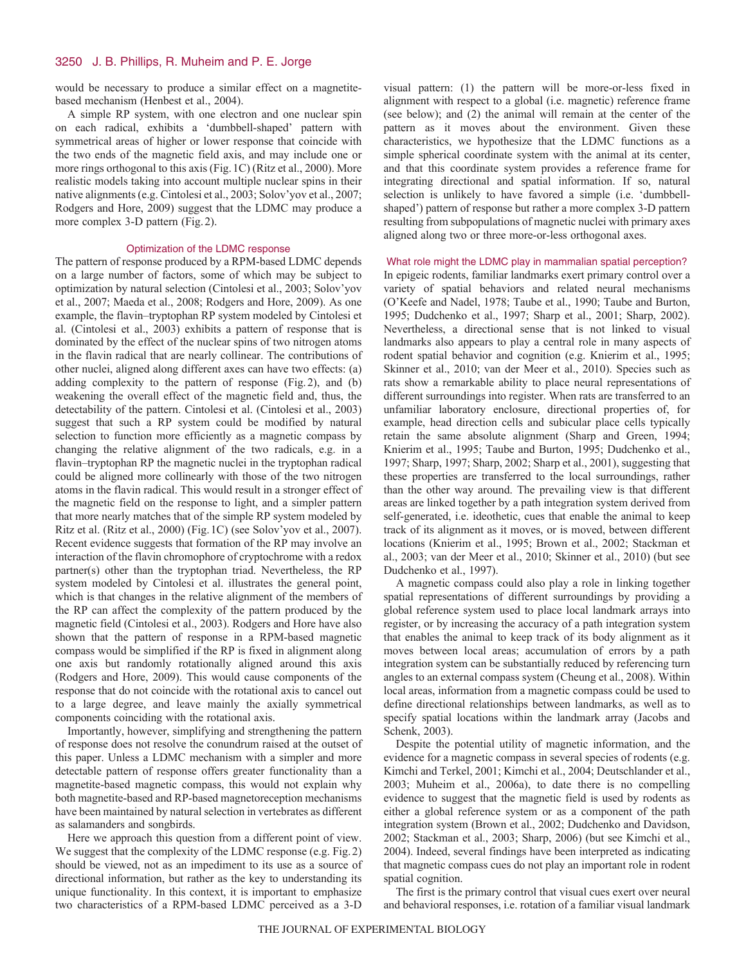# 3250 J. B. Phillips, R. Muheim and P. E. Jorge

would be necessary to produce a similar effect on a magnetitebased mechanism (Henbest et al., 2004).

A simple RP system, with one electron and one nuclear spin on each radical, exhibits a 'dumbbell-shaped' pattern with symmetrical areas of higher or lower response that coincide with the two ends of the magnetic field axis, and may include one or more rings orthogonal to this axis (Fig.1C) (Ritz et al., 2000). More realistic models taking into account multiple nuclear spins in their native alignments (e.g. Cintolesi et al., 2003; Solov'yov et al., 2007; Rodgers and Hore, 2009) suggest that the LDMC may produce a more complex 3-D pattern (Fig.2).

# Optimization of the LDMC response

The pattern of response produced by a RPM-based LDMC depends on a large number of factors, some of which may be subject to optimization by natural selection (Cintolesi et al., 2003; Solov'yov et al., 2007; Maeda et al., 2008; Rodgers and Hore, 2009). As one example, the flavin–tryptophan RP system modeled by Cintolesi et al. (Cintolesi et al., 2003) exhibits a pattern of response that is dominated by the effect of the nuclear spins of two nitrogen atoms in the flavin radical that are nearly collinear. The contributions of other nuclei, aligned along different axes can have two effects: (a) adding complexity to the pattern of response (Fig.2), and (b) weakening the overall effect of the magnetic field and, thus, the detectability of the pattern. Cintolesi et al. (Cintolesi et al., 2003) suggest that such a RP system could be modified by natural selection to function more efficiently as a magnetic compass by changing the relative alignment of the two radicals, e.g. in a flavin–tryptophan RP the magnetic nuclei in the tryptophan radical could be aligned more collinearly with those of the two nitrogen atoms in the flavin radical. This would result in a stronger effect of the magnetic field on the response to light, and a simpler pattern that more nearly matches that of the simple RP system modeled by Ritz et al. (Ritz et al., 2000) (Fig.1C) (see Solov'yov et al., 2007). Recent evidence suggests that formation of the RP may involve an interaction of the flavin chromophore of cryptochrome with a redox partner(s) other than the tryptophan triad. Nevertheless, the RP system modeled by Cintolesi et al. illustrates the general point, which is that changes in the relative alignment of the members of the RP can affect the complexity of the pattern produced by the magnetic field (Cintolesi et al., 2003). Rodgers and Hore have also shown that the pattern of response in a RPM-based magnetic compass would be simplified if the RP is fixed in alignment along one axis but randomly rotationally aligned around this axis (Rodgers and Hore, 2009). This would cause components of the response that do not coincide with the rotational axis to cancel out to a large degree, and leave mainly the axially symmetrical components coinciding with the rotational axis.

Importantly, however, simplifying and strengthening the pattern of response does not resolve the conundrum raised at the outset of this paper. Unless a LDMC mechanism with a simpler and more detectable pattern of response offers greater functionality than a magnetite-based magnetic compass, this would not explain why both magnetite-based and RP-based magnetoreception mechanisms have been maintained by natural selection in vertebrates as different as salamanders and songbirds.

Here we approach this question from a different point of view. We suggest that the complexity of the LDMC response (e.g. Fig.2) should be viewed, not as an impediment to its use as a source of directional information, but rather as the key to understanding its unique functionality. In this context, it is important to emphasize two characteristics of a RPM-based LDMC perceived as a 3-D

visual pattern: (1) the pattern will be more-or-less fixed in alignment with respect to a global (i.e. magnetic) reference frame (see below); and (2) the animal will remain at the center of the pattern as it moves about the environment. Given these characteristics, we hypothesize that the LDMC functions as a simple spherical coordinate system with the animal at its center, and that this coordinate system provides a reference frame for integrating directional and spatial information. If so, natural selection is unlikely to have favored a simple (i.e. 'dumbbellshaped') pattern of response but rather a more complex 3-D pattern resulting from subpopulations of magnetic nuclei with primary axes aligned along two or three more-or-less orthogonal axes.

# What role might the LDMC play in mammalian spatial perception?

In epigeic rodents, familiar landmarks exert primary control over a variety of spatial behaviors and related neural mechanisms (O'Keefe and Nadel, 1978; Taube et al., 1990; Taube and Burton, 1995; Dudchenko et al., 1997; Sharp et al., 2001; Sharp, 2002). Nevertheless, a directional sense that is not linked to visual landmarks also appears to play a central role in many aspects of rodent spatial behavior and cognition (e.g. Knierim et al., 1995; Skinner et al., 2010; van der Meer et al., 2010). Species such as rats show a remarkable ability to place neural representations of different surroundings into register. When rats are transferred to an unfamiliar laboratory enclosure, directional properties of, for example, head direction cells and subicular place cells typically retain the same absolute alignment (Sharp and Green, 1994; Knierim et al., 1995; Taube and Burton, 1995; Dudchenko et al., 1997; Sharp, 1997; Sharp, 2002; Sharp et al., 2001), suggesting that these properties are transferred to the local surroundings, rather than the other way around. The prevailing view is that different areas are linked together by a path integration system derived from self-generated, i.e. ideothetic, cues that enable the animal to keep track of its alignment as it moves, or is moved, between different locations (Knierim et al., 1995; Brown et al., 2002; Stackman et al., 2003; van der Meer et al., 2010; Skinner et al., 2010) (but see Dudchenko et al., 1997).

A magnetic compass could also play a role in linking together spatial representations of different surroundings by providing a global reference system used to place local landmark arrays into register, or by increasing the accuracy of a path integration system that enables the animal to keep track of its body alignment as it moves between local areas; accumulation of errors by a path integration system can be substantially reduced by referencing turn angles to an external compass system (Cheung et al., 2008). Within local areas, information from a magnetic compass could be used to define directional relationships between landmarks, as well as to specify spatial locations within the landmark array (Jacobs and Schenk, 2003).

Despite the potential utility of magnetic information, and the evidence for a magnetic compass in several species of rodents (e.g. Kimchi and Terkel, 2001; Kimchi et al., 2004; Deutschlander et al., 2003; Muheim et al., 2006a), to date there is no compelling evidence to suggest that the magnetic field is used by rodents as either a global reference system or as a component of the path integration system (Brown et al., 2002; Dudchenko and Davidson, 2002; Stackman et al., 2003; Sharp, 2006) (but see Kimchi et al., 2004). Indeed, several findings have been interpreted as indicating that magnetic compass cues do not play an important role in rodent spatial cognition.

The first is the primary control that visual cues exert over neural and behavioral responses, i.e. rotation of a familiar visual landmark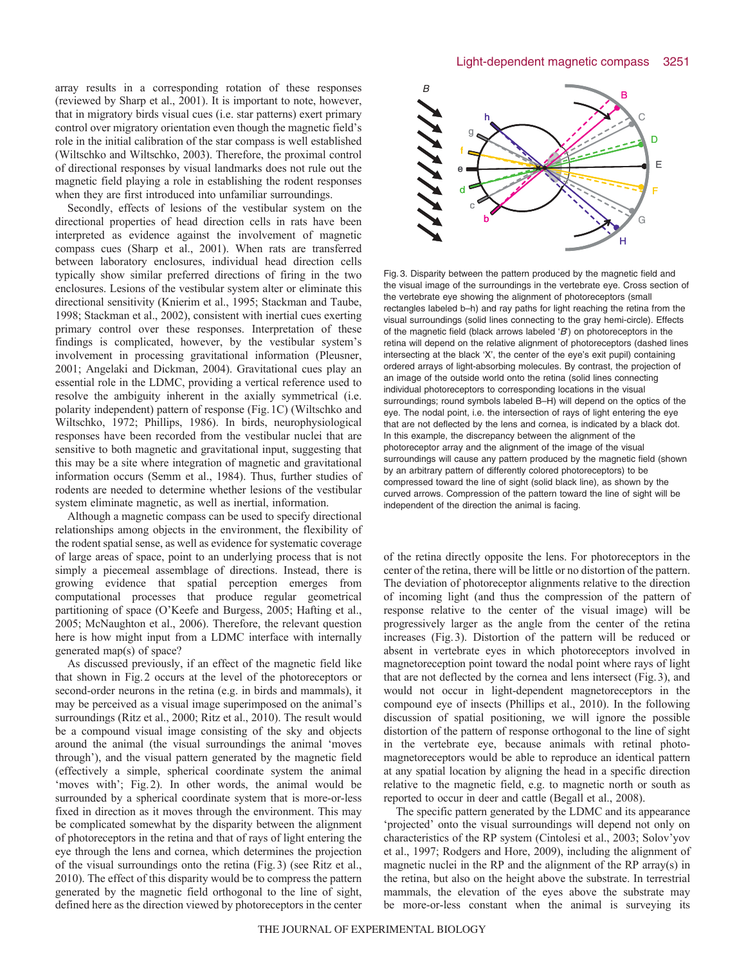array results in a corresponding rotation of these responses (reviewed by Sharp et al., 2001). It is important to note, however, that in migratory birds visual cues (i.e. star patterns) exert primary control over migratory orientation even though the magnetic field's role in the initial calibration of the star compass is well established (Wiltschko and Wiltschko, 2003). Therefore, the proximal control of directional responses by visual landmarks does not rule out the magnetic field playing a role in establishing the rodent responses when they are first introduced into unfamiliar surroundings.

Secondly, effects of lesions of the vestibular system on the directional properties of head direction cells in rats have been interpreted as evidence against the involvement of magnetic compass cues (Sharp et al., 2001). When rats are transferred between laboratory enclosures, individual head direction cells typically show similar preferred directions of firing in the two enclosures. Lesions of the vestibular system alter or eliminate this directional sensitivity (Knierim et al., 1995; Stackman and Taube, 1998; Stackman et al., 2002), consistent with inertial cues exerting primary control over these responses. Interpretation of these findings is complicated, however, by the vestibular system's involvement in processing gravitational information (Pleusner, 2001; Angelaki and Dickman, 2004). Gravitational cues play an essential role in the LDMC, providing a vertical reference used to resolve the ambiguity inherent in the axially symmetrical (i.e. polarity independent) pattern of response (Fig.1C) (Wiltschko and Wiltschko, 1972; Phillips, 1986). In birds, neurophysiological responses have been recorded from the vestibular nuclei that are sensitive to both magnetic and gravitational input, suggesting that this may be a site where integration of magnetic and gravitational information occurs (Semm et al., 1984). Thus, further studies of rodents are needed to determine whether lesions of the vestibular system eliminate magnetic, as well as inertial, information.

Although a magnetic compass can be used to specify directional relationships among objects in the environment, the flexibility of the rodent spatial sense, as well as evidence for systematic coverage of large areas of space, point to an underlying process that is not simply a piecemeal assemblage of directions. Instead, there is growing evidence that spatial perception emerges from computational processes that produce regular geometrical partitioning of space (O'Keefe and Burgess, 2005; Hafting et al., 2005; McNaughton et al., 2006). Therefore, the relevant question here is how might input from a LDMC interface with internally generated map(s) of space?

As discussed previously, if an effect of the magnetic field like that shown in Fig.2 occurs at the level of the photoreceptors or second-order neurons in the retina (e.g. in birds and mammals), it may be perceived as a visual image superimposed on the animal's surroundings (Ritz et al., 2000; Ritz et al., 2010). The result would be a compound visual image consisting of the sky and objects around the animal (the visual surroundings the animal 'moves through'), and the visual pattern generated by the magnetic field (effectively a simple, spherical coordinate system the animal 'moves with'; Fig.2). In other words, the animal would be surrounded by a spherical coordinate system that is more-or-less fixed in direction as it moves through the environment. This may be complicated somewhat by the disparity between the alignment of photoreceptors in the retina and that of rays of light entering the eye through the lens and cornea, which determines the projection of the visual surroundings onto the retina (Fig.3) (see Ritz et al., 2010). The effect of this disparity would be to compress the pattern generated by the magnetic field orthogonal to the line of sight, defined here as the direction viewed by photoreceptors in the center



Fig. 3. Disparity between the pattern produced by the magnetic field and the visual image of the surroundings in the vertebrate eye. Cross section of the vertebrate eye showing the alignment of photoreceptors (small rectangles labeled b–h) and ray paths for light reaching the retina from the visual surroundings (solid lines connecting to the gray hemi-circle). Effects of the magnetic field (black arrows labeled 'B') on photoreceptors in the retina will depend on the relative alignment of photoreceptors (dashed lines intersecting at the black 'X', the center of the eye's exit pupil) containing ordered arrays of light-absorbing molecules. By contrast, the projection of an image of the outside world onto the retina (solid lines connecting individual photoreceptors to corresponding locations in the visual surroundings; round symbols labeled B–H) will depend on the optics of the eye. The nodal point, i.e. the intersection of rays of light entering the eye that are not deflected by the lens and cornea, is indicated by a black dot. In this example, the discrepancy between the alignment of the photoreceptor array and the alignment of the image of the visual surroundings will cause any pattern produced by the magnetic field (shown by an arbitrary pattern of differently colored photoreceptors) to be compressed toward the line of sight (solid black line), as shown by the curved arrows. Compression of the pattern toward the line of sight will be independent of the direction the animal is facing.

of the retina directly opposite the lens. For photoreceptors in the center of the retina, there will be little or no distortion of the pattern. The deviation of photoreceptor alignments relative to the direction of incoming light (and thus the compression of the pattern of response relative to the center of the visual image) will be progressively larger as the angle from the center of the retina increases (Fig.3). Distortion of the pattern will be reduced or absent in vertebrate eyes in which photoreceptors involved in magnetoreception point toward the nodal point where rays of light that are not deflected by the cornea and lens intersect (Fig.3), and would not occur in light-dependent magnetoreceptors in the compound eye of insects (Phillips et al., 2010). In the following discussion of spatial positioning, we will ignore the possible distortion of the pattern of response orthogonal to the line of sight in the vertebrate eye, because animals with retinal photomagnetoreceptors would be able to reproduce an identical pattern at any spatial location by aligning the head in a specific direction relative to the magnetic field, e.g. to magnetic north or south as reported to occur in deer and cattle (Begall et al., 2008).

The specific pattern generated by the LDMC and its appearance 'projected' onto the visual surroundings will depend not only on characteristics of the RP system (Cintolesi et al., 2003; Solov'yov et al., 1997; Rodgers and Hore, 2009), including the alignment of magnetic nuclei in the RP and the alignment of the RP array(s) in the retina, but also on the height above the substrate. In terrestrial mammals, the elevation of the eyes above the substrate may be more-or-less constant when the animal is surveying its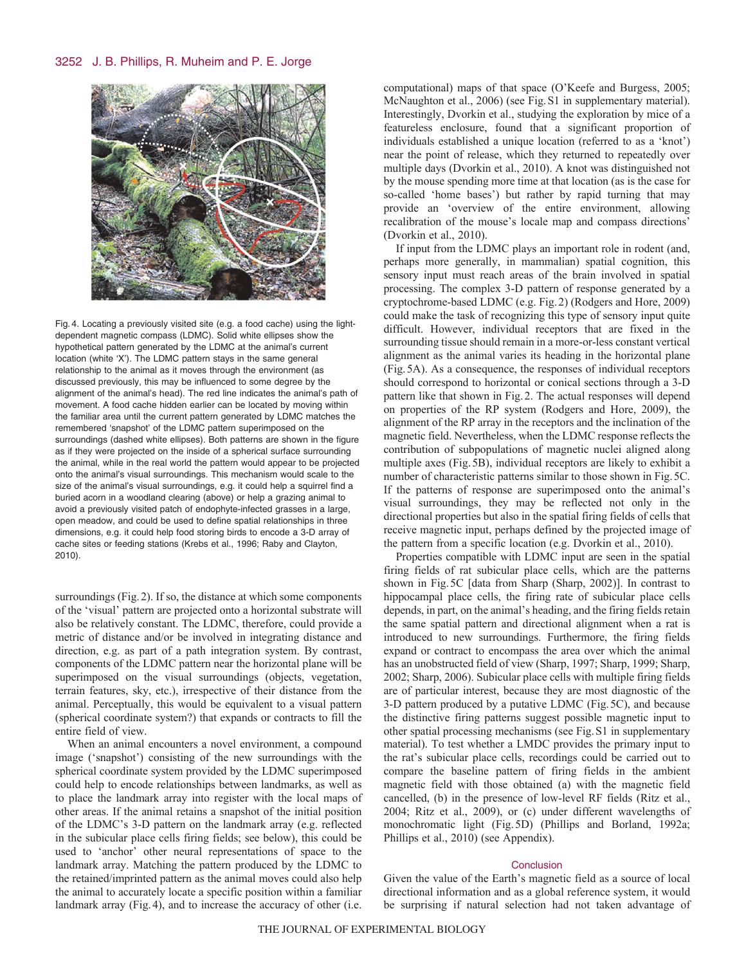# 3252 J. B. Phillips, R. Muheim and P. E. Jorge



Fig. 4. Locating a previously visited site (e.g. a food cache) using the lightdependent magnetic compass (LDMC). Solid white ellipses show the hypothetical pattern generated by the LDMC at the animal's current location (white 'X'). The LDMC pattern stays in the same general relationship to the animal as it moves through the environment (as discussed previously, this may be influenced to some degree by the alignment of the animal's head). The red line indicates the animal's path of movement. A food cache hidden earlier can be located by moving within the familiar area until the current pattern generated by LDMC matches the remembered 'snapshot' of the LDMC pattern superimposed on the surroundings (dashed white ellipses). Both patterns are shown in the figure as if they were projected on the inside of a spherical surface surrounding the animal, while in the real world the pattern would appear to be projected onto the animal's visual surroundings. This mechanism would scale to the size of the animal's visual surroundings, e.g. it could help a squirrel find a buried acorn in a woodland clearing (above) or help a grazing animal to avoid a previously visited patch of endophyte-infected grasses in a large, open meadow, and could be used to define spatial relationships in three dimensions, e.g. it could help food storing birds to encode a 3-D array of cache sites or feeding stations (Krebs et al., 1996; Raby and Clayton, 2010).

surroundings (Fig. 2). If so, the distance at which some components of the 'visual' pattern are projected onto a horizontal substrate will also be relatively constant. The LDMC, therefore, could provide a metric of distance and/or be involved in integrating distance and direction, e.g. as part of a path integration system. By contrast, components of the LDMC pattern near the horizontal plane will be superimposed on the visual surroundings (objects, vegetation, terrain features, sky, etc.), irrespective of their distance from the animal. Perceptually, this would be equivalent to a visual pattern (spherical coordinate system?) that expands or contracts to fill the entire field of view.

When an animal encounters a novel environment, a compound image ('snapshot') consisting of the new surroundings with the spherical coordinate system provided by the LDMC superimposed could help to encode relationships between landmarks, as well as to place the landmark array into register with the local maps of other areas. If the animal retains a snapshot of the initial position of the LDMC's 3-D pattern on the landmark array (e.g. reflected in the subicular place cells firing fields; see below), this could be used to 'anchor' other neural representations of space to the landmark array. Matching the pattern produced by the LDMC to the retained/imprinted pattern as the animal moves could also help the animal to accurately locate a specific position within a familiar landmark array (Fig.4), and to increase the accuracy of other (i.e.

computational) maps of that space (O'Keefe and Burgess, 2005; McNaughton et al., 2006) (see Fig.S1 in supplementary material). Interestingly, Dvorkin et al., studying the exploration by mice of a featureless enclosure, found that a significant proportion of individuals established a unique location (referred to as a 'knot') near the point of release, which they returned to repeatedly over multiple days (Dvorkin et al., 2010). A knot was distinguished not by the mouse spending more time at that location (as is the case for so-called 'home bases') but rather by rapid turning that may provide an 'overview of the entire environment, allowing recalibration of the mouse's locale map and compass directions' (Dvorkin et al., 2010).

If input from the LDMC plays an important role in rodent (and, perhaps more generally, in mammalian) spatial cognition, this sensory input must reach areas of the brain involved in spatial processing. The complex 3-D pattern of response generated by a cryptochrome-based LDMC (e.g. Fig.2) (Rodgers and Hore, 2009) could make the task of recognizing this type of sensory input quite difficult. However, individual receptors that are fixed in the surrounding tissue should remain in a more-or-less constant vertical alignment as the animal varies its heading in the horizontal plane (Fig.5A). As a consequence, the responses of individual receptors should correspond to horizontal or conical sections through a 3-D pattern like that shown in Fig.2. The actual responses will depend on properties of the RP system (Rodgers and Hore, 2009), the alignment of the RP array in the receptors and the inclination of the magnetic field. Nevertheless, when the LDMC response reflects the contribution of subpopulations of magnetic nuclei aligned along multiple axes (Fig.5B), individual receptors are likely to exhibit a number of characteristic patterns similar to those shown in Fig.5C. If the patterns of response are superimposed onto the animal's visual surroundings, they may be reflected not only in the directional properties but also in the spatial firing fields of cells that receive magnetic input, perhaps defined by the projected image of the pattern from a specific location (e.g. Dvorkin et al., 2010).

Properties compatible with LDMC input are seen in the spatial firing fields of rat subicular place cells, which are the patterns shown in Fig.5C [data from Sharp (Sharp, 2002)]. In contrast to hippocampal place cells, the firing rate of subicular place cells depends, in part, on the animal's heading, and the firing fields retain the same spatial pattern and directional alignment when a rat is introduced to new surroundings. Furthermore, the firing fields expand or contract to encompass the area over which the animal has an unobstructed field of view (Sharp, 1997; Sharp, 1999; Sharp, 2002; Sharp, 2006). Subicular place cells with multiple firing fields are of particular interest, because they are most diagnostic of the 3-D pattern produced by a putative LDMC (Fig.5C), and because the distinctive firing patterns suggest possible magnetic input to other spatial processing mechanisms (see Fig.S1 in supplementary material). To test whether a LMDC provides the primary input to the rat's subicular place cells, recordings could be carried out to compare the baseline pattern of firing fields in the ambient magnetic field with those obtained (a) with the magnetic field cancelled, (b) in the presence of low-level RF fields (Ritz et al., 2004; Ritz et al., 2009), or (c) under different wavelengths of monochromatic light (Fig.5D) (Phillips and Borland, 1992a; Phillips et al., 2010) (see Appendix).

# **Conclusion**

Given the value of the Earth's magnetic field as a source of local directional information and as a global reference system, it would be surprising if natural selection had not taken advantage of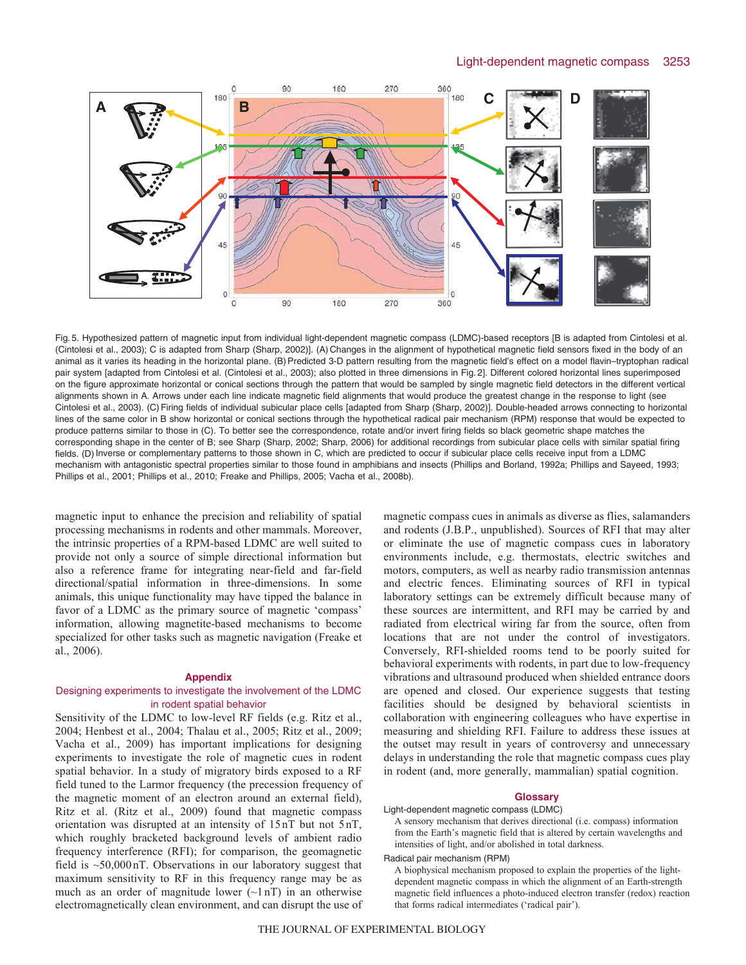

Fig. 5. Hypothesized pattern of magnetic input from individual light-dependent magnetic compass (LDMC)-based receptors [B is adapted from Cintolesi et al. (Cintolesi et al., 2003); C is adapted from Sharp (Sharp, 2002)]. (A) Changes in the alignment of hypothetical magnetic field sensors fixed in the body of an animal as it varies its heading in the horizontal plane. (B) Predicted 3-D pattern resulting from the magnetic field's effect on a model flavin-tryptophan radical pair system [adapted from Cintolesi et al. (Cintolesi et al., 2003); also plotted in three dimensions in Fig. 2]. Different colored horizontal lines superimposed on the figure approximate horizontal or conical sections through the pattern that would be sampled by single magnetic field detectors in the different vertical alignments shown in A. Arrows under each line indicate magnetic field alignments that would produce the greatest change in the response to light (see Cintolesi et al., 2003). (C)Firing fields of individual subicular place cells [adapted from Sharp (Sharp, 2002)]. Double-headed arrows connecting to horizontal lines of the same color in B show horizontal or conical sections through the hypothetical radical pair mechanism (RPM) response that would be expected to produce patterns similar to those in (C). To better see the correspondence, rotate and/or invert firing fields so black geometric shape matches the corresponding shape in the center of B; see Sharp (Sharp, 2002; Sharp, 2006) for additional recordings from subicular place cells with similar spatial firing fields. (D) Inverse or complementary patterns to those shown in C, which are predicted to occur if subicular place cells receive input from a LDMC mechanism with antagonistic spectral properties similar to those found in amphibians and insects (Phillips and Borland, 1992a; Phillips and Sayeed, 1993; Phillips et al., 2001; Phillips et al., 2010; Freake and Phillips, 2005; Vacha et al., 2008b).

magnetic input to enhance the precision and reliability of spatial processing mechanisms in rodents and other mammals. Moreover, the intrinsic properties of a RPM-based LDMC are well suited to provide not only a source of simple directional information but also a reference frame for integrating near-field and far-field directional/spatial information in three-dimensions. In some animals, this unique functionality may have tipped the balance in favor of a LDMC as the primary source of magnetic 'compass' information, allowing magnetite-based mechanisms to become specialized for other tasks such as magnetic navigation (Freake et al., 2006).

### **Appendix**

# Designing experiments to investigate the involvement of the LDMC in rodent spatial behavior

Sensitivity of the LDMC to low-level RF fields (e.g. Ritz et al., 2004; Henbest et al., 2004; Thalau et al., 2005; Ritz et al., 2009; Vacha et al., 2009) has important implications for designing experiments to investigate the role of magnetic cues in rodent spatial behavior. In a study of migratory birds exposed to a RF field tuned to the Larmor frequency (the precession frequency of the magnetic moment of an electron around an external field), Ritz et al. (Ritz et al., 2009) found that magnetic compass orientation was disrupted at an intensity of 15nT but not 5 nT, which roughly bracketed background levels of ambient radio frequency interference (RFI); for comparison, the geomagnetic field is  $\sim 50,000$  nT. Observations in our laboratory suggest that maximum sensitivity to RF in this frequency range may be as much as an order of magnitude lower  $(\sim 1 \text{ nT})$  in an otherwise electromagnetically clean environment, and can disrupt the use of magnetic compass cues in animals as diverse as flies, salamanders and rodents (J.B.P., unpublished). Sources of RFI that may alter or eliminate the use of magnetic compass cues in laboratory environments include, e.g. thermostats, electric switches and motors, computers, as well as nearby radio transmission antennas and electric fences. Eliminating sources of RFI in typical laboratory settings can be extremely difficult because many of these sources are intermittent, and RFI may be carried by and radiated from electrical wiring far from the source, often from locations that are not under the control of investigators. Conversely, RFI-shielded rooms tend to be poorly suited for behavioral experiments with rodents, in part due to low-frequency vibrations and ultrasound produced when shielded entrance doors are opened and closed. Our experience suggests that testing facilities should be designed by behavioral scientists in collaboration with engineering colleagues who have expertise in measuring and shielding RFI. Failure to address these issues at the outset may result in years of controversy and unnecessary delays in understanding the role that magnetic compass cues play in rodent (and, more generally, mammalian) spatial cognition.

# **Glossary**

Light-dependent magnetic compass (LDMC)

A sensory mechanism that derives directional (i.e. compass) information from the Earth's magnetic field that is altered by certain wavelengths and intensities of light, and/or abolished in total darkness.

### Radical pair mechanism (RPM)

A biophysical mechanism proposed to explain the properties of the lightdependent magnetic compass in which the alignment of an Earth-strength magnetic field influences a photo-induced electron transfer (redox) reaction that forms radical intermediates ('radical pair').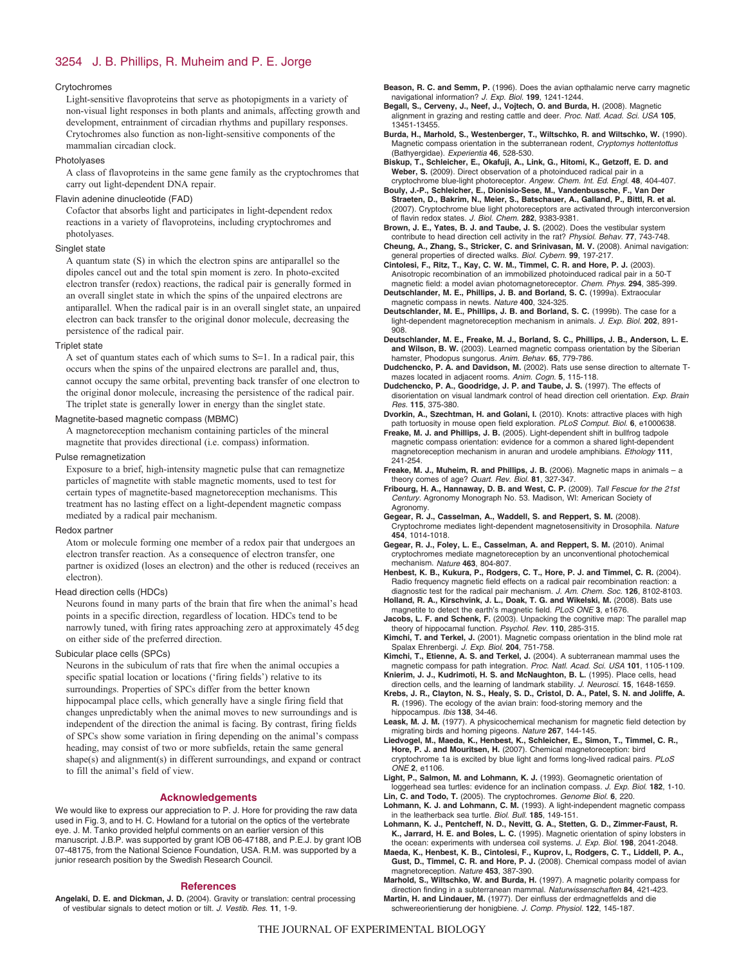# 3254 J. B. Phillips, R. Muheim and P. E. Jorge

### Crytochromes

Light-sensitive flavoproteins that serve as photopigments in a variety of non-visual light responses in both plants and animals, affecting growth and development, entrainment of circadian rhythms and pupillary responses. Crytochromes also function as non-light-sensitive components of the mammalian circadian clock.

### Photolyases

A class of flavoproteins in the same gene family as the cryptochromes that carry out light-dependent DNA repair.

### Flavin adenine dinucleotide (FAD)

Cofactor that absorbs light and participates in light-dependent redox reactions in a variety of flavoproteins, including cryptochromes and photolyases.

# Singlet state

A quantum state (S) in which the electron spins are antiparallel so the dipoles cancel out and the total spin moment is zero. In photo-excited electron transfer (redox) reactions, the radical pair is generally formed in an overall singlet state in which the spins of the unpaired electrons are antiparallel. When the radical pair is in an overall singlet state, an unpaired electron can back transfer to the original donor molecule, decreasing the persistence of the radical pair.

#### Triplet state

A set of quantum states each of which sums to  $S=1$ . In a radical pair, this occurs when the spins of the unpaired electrons are parallel and, thus, cannot occupy the same orbital, preventing back transfer of one electron to the original donor molecule, increasing the persistence of the radical pair. The triplet state is generally lower in energy than the singlet state.

## Magnetite-based magnetic compass (MBMC)

A magnetoreception mechanism containing particles of the mineral magnetite that provides directional (i.e. compass) information.

### Pulse remagnetization

Exposure to a brief, high-intensity magnetic pulse that can remagnetize particles of magnetite with stable magnetic moments, used to test for certain types of magnetite-based magnetoreception mechanisms. This treatment has no lasting effect on a light-dependent magnetic compass mediated by a radical pair mechanism.

#### Redox partner

Atom or molecule forming one member of a redox pair that undergoes an electron transfer reaction. As a consequence of electron transfer, one partner is oxidized (loses an electron) and the other is reduced (receives an electron).

### Head direction cells (HDCs)

Neurons found in many parts of the brain that fire when the animal's head points in a specific direction, regardless of location. HDCs tend to be narrowly tuned, with firing rates approaching zero at approximately 45 deg on either side of the preferred direction.

## Subicular place cells (SPCs)

Neurons in the subiculum of rats that fire when the animal occupies a specific spatial location or locations ('firing fields') relative to its surroundings. Properties of SPCs differ from the better known hippocampal place cells, which generally have a single firing field that changes unpredictably when the animal moves to new surroundings and is independent of the direction the animal is facing. By contrast, firing fields of SPCs show some variation in firing depending on the animal's compass heading, may consist of two or more subfields, retain the same general shape(s) and alignment(s) in different surroundings, and expand or contract to fill the animal's field of view.

### **Acknowledgements**

We would like to express our appreciation to P. J. Hore for providing the raw data used in Fig. 3, and to H. C. Howland for a tutorial on the optics of the vertebrate eye. J. M. Tanko provided helpful comments on an earlier version of this manuscript. J.B.P. was supported by grant IOB 06-47188, and P.E.J. by grant IOB 07-48175, from the National Science Foundation, USA. R.M. was supported by a junior research position by the Swedish Research Council.

#### **References**

**Angelaki, D. E. and Dickman, J. D.** (2004). Gravity or translation: central processing of vestibular signals to detect motion or tilt. J. Vestib. Res. **11**, 1-9.

**Beason, R. C. and Semm, P.** (1996). Does the avian opthalamic nerve carry magnetic navigational information? J. Exp. Biol. **199**, 1241-1244.

**Begall, S., Cerveny, J., Neef, J., Vojtech, O. and Burda, H.** (2008). Magnetic alignment in grazing and resting cattle and deer. Proc. Natl. Acad. Sci. USA **105**, 13451-13455.

**Burda, H., Marhold, S., Westenberger, T., Wiltschko, R. and Wiltschko, W.** (1990). Magnetic compass orientation in the subterranean rodent, Cryptomys hottentottus (Bathyergidae). Experientia **46**, 528-530.

**Biskup, T., Schleicher, E., Okafuji, A., Link, G., Hitomi, K., Getzoff, E. D. and Weber, S.** (2009). Direct observation of a photoinduced radical pair in a cryptochrome blue-light photoreceptor. Angew. Chem. Int. Ed. Engl. **48**, 404-407.

**Bouly, J.-P., Schleicher, E., Dionisio-Sese, M., Vandenbussche, F., Van Der Straeten, D., Bakrim, N., Meier, S., Batschauer, A., Galland, P., Bittl, R. et al.** (2007). Cryptochrome blue light photoreceptors are activated through interconversion of flavin redox states. J. Biol. Chem. **282**, 9383-9381.

**Brown, J. E., Yates, B. J. and Taube, J. S.** (2002). Does the vestibular system contribute to head direction cell activity in the rat? Physiol. Behav. **77**, 743-748.

**Cheung, A., Zhang, S., Stricker, C. and Srinivasan, M. V.** (2008). Animal navigation: general properties of directed walks. Biol. Cybern. **99**, 197-217.

**Cintolesi, F., Ritz, T., Kay, C. W. M., Timmel, C. R. and Hore, P. J.** (2003). Anisotropic recombination of an immobilized photoinduced radical pair in a 50-T magnetic field: a model avian photomagnetoreceptor. Chem. Phys. **294**, 385-399.

**Deutschlander, M. E., Phillips, J. B. and Borland, S. C.** (1999a). Extraocular magnetic compass in newts. Nature **400**, 324-325.

**Deutschlander, M. E., Phillips, J. B. and Borland, S. C.** (1999b). The case for a light-dependent magnetoreception mechanism in animals. J. Exp. Biol. **202**, 891- 908.

**Deutschlander, M. E., Freake, M. J., Borland, S. C., Phillips, J. B., Anderson, L. E. and Wilson, B. W.** (2003). Learned magnetic compass orientation by the Siberian hamster, Phodopus sungorus. Anim. Behav. **65**, 779-786.

**Dudchencko, P. A. and Davidson, M.** (2002). Rats use sense direction to alternate Tmazes located in adjacent rooms. Anim. Cogn. **5**, 115-118.

- **Dudchencko, P. A., Goodridge, J. P. and Taube, J. S.** (1997). The effects of disorientation on visual landmark control of head direction cell orientation. Exp. Brain Res. **115**, 375-380.
- **Dvorkin, A., Szechtman, H. and Golani, I.** (2010). Knots: attractive places with high path tortuosity in mouse open field exploration. PLoS Comput. Biol. **6**, e1000638.

**Freake, M. J. and Phillips, J. B.** (2005). Light-dependent shift in bullfrog tadpole magnetic compass orientation: evidence for a common a shared light-dependent magnetoreception mechanism in anuran and urodele amphibians. Ethology **111**, 241-254.

**Freake, M. J., Muheim, R. and Phillips, J. B.** (2006). Magnetic maps in animals – a theory comes of age? Quart. Rev. Biol. **81**, 327-347.

**Fribourg, H. A., Hannaway, D. B. and West, C. P.** (2009). Tall Fescue for the 21st Century. Agronomy Monograph No. 53. Madison, WI: American Society of **Agronomy** 

**Gegear, R. J., Casselman, A., Waddell, S. and Reppert, S. M.** (2008).

Cryptochrome mediates light-dependent magnetosensitivity in Drosophila. Nature **454**, 1014-1018.

**Gegear, R. J., Foley, L. E., Casselman, A. and Reppert, S. M.** (2010). Animal cryptochromes mediate magnetoreception by an unconventional photochemical mechanism. Nature **463**, 804-807.

**Henbest, K. B., Kukura, P., Rodgers, C. T., Hore, P. J. and Timmel, C. R.** (2004). Radio frequency magnetic field effects on a radical pair recombination reaction: a diagnostic test for the radical pair mechanism. J. Am. Chem. Soc. **126**, 8102-8103.

**Holland, R. A., Kirschvink, J. L., Doak, T. G. and Wikelski, M.** (2008). Bats use magnetite to detect the earth's magnetic field. PLoS ONE **3**, e1676.

**Jacobs, L. F. and Schenk, F.** (2003). Unpacking the cognitive map: The parallel map theory of hippocamal function. Psychol. Rev. **110**, 285-315.

- **Kimchi, T. and Terkel, J.** (2001). Magnetic compass orientation in the blind mole rat Spalax Ehrenbergi. J. Exp. Biol. **204**, 751-758.
- **Kimchi, T., Etienne, A. S. and Terkel, J.** (2004). A subterranean mammal uses the magnetic compass for path integration. Proc. Natl. Acad. Sci. USA **101**, 1105-1109. **Knierim, J. J., Kudrimoti, H. S. and McNaughton, B. L.** (1995). Place cells, head

direction cells, and the learning of landmark stability. J. Neurosci. **15**, 1648-1659.

**Krebs, J. R., Clayton, N. S., Healy, S. D., Cristol, D. A., Patel, S. N. and Joliffe, A. R.** (1996). The ecology of the avian brain: food-storing memory and the hippocampus. Ibis **138**, 34-46.

**Leask, M. J. M.** (1977). A physicochemical mechanism for magnetic field detection by migrating birds and homing pigeons. Nature **267**, 144-145.

- **Liedvogel, M., Maeda, K., Henbest, K., Schleicher, E., Simon, T., Timmel, C. R., Hore, P. J. and Mouritsen, H.** (2007). Chemical magnetoreception: bird cryptochrome 1a is excited by blue light and forms long-lived radical pairs. PLoS ONE **2**, e1106.
- **Light, P., Salmon, M. and Lohmann, K. J.** (1993). Geomagnetic orientation of

loggerhead sea turtles: evidence for an inclination compass. J. Exp. Biol. **182**, 1-10. **Lin, C. and Todo, T.** (2005). The cryptochromes. Genome Biol. **6**, 220.

**Lohmann, K. J. and Lohmann, C. M.** (1993). A light-independent magnetic compass in the leatherback sea turtle. Biol. Bull. **185**, 149-151.

**Lohmann, K. J., Pentcheff, N. D., Nevitt, G. A., Stetten, G. D., Zimmer-Faust, R. K., Jarrard, H. E. and Boles, L. C.** (1995). Magnetic orientation of spiny lobsters in the ocean: experiments with undersea coil systems. J. Exp. Biol. **198**, 2041-2048.

**Maeda, K., Henbest, K. B., Cintolesi, F., Kuprov, I., Rodgers, C. T., Liddell, P. A., Gust, D., Timmel, C. R. and Hore, P. J.** (2008). Chemical compass model of avian magnetoreception. Nature **453**, 387-390.

**Marhold, S., Wiltschko, W. and Burda, H.** (1997). A magnetic polarity compass for direction finding in a subterranean mammal. Naturwissenschaften **84**, 421-423.

**Martin, H. and Lindauer, M.** (1977). Der einfluss der erdmagnetfelds and die schwereorientierung der honigbiene. J. Comp. Physiol. **122**, 145-187.